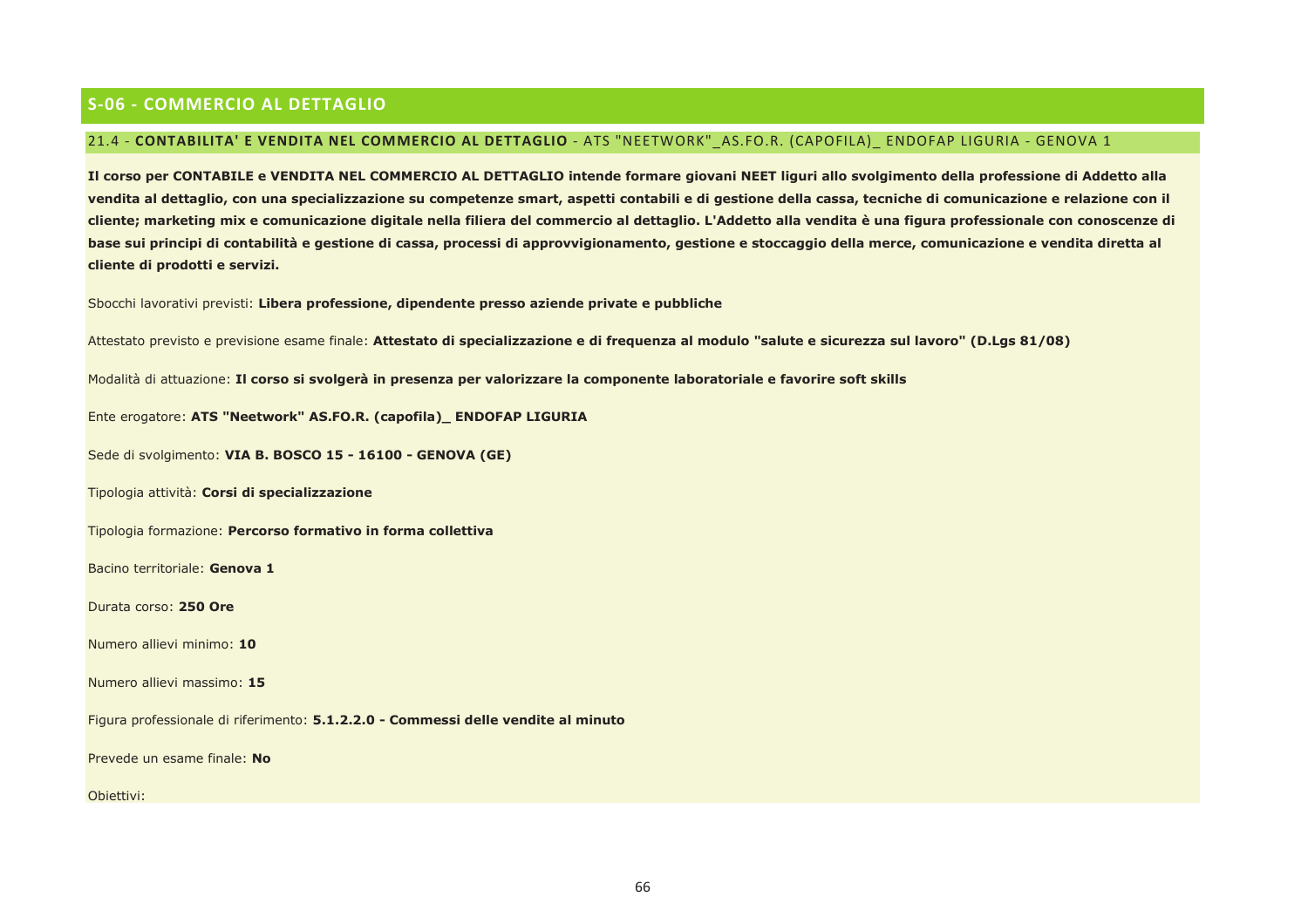# **S-06 - COMMERCIO AL DETTAGLIO**

## 21.4 - CONTABILITA' E VENDITA NEL COMMERCIO AL DETTAGLIO - ATS "NEETWORK" AS.FO.R. (CAPOFILA) ENDOFAP LIGURIA - GENOVA 1

Il corso per CONTABILE e VENDITA NEL COMMERCIO AL DETTAGLIO intende formare giovani NEET liguri allo svolgimento della professione di Addetto alla vendita al dettaglio, con una specializzazione su competenze smart, aspetti contabili e di gestione della cassa, tecniche di comunicazione e relazione con il cliente; marketing mix e comunicazione digitale nella filiera del commercio al dettaglio. L'Addetto alla vendita è una figura professionale con conoscenze di base sui principi di contabilità e gestione di cassa, processi di approvvigionamento, gestione e stoccaggio della merce, comunicazione e vendita diretta al cliente di prodotti e servizi.

Sbocchi lavorativi previsti: Libera professione, dipendente presso aziende private e pubbliche

Attestato previsto e previsione esame finale: Attestato di specializzazione e di freguenza al modulo "salute e sicurezza sul lavoro" (D.Lgs 81/08)

Modalità di attuazione: Il corso si svolgerà in presenza per valorizzare la componente laboratoriale e favorire soft skills

Ente erogatore: ATS "Neetwork" AS.FO.R. (capofila)\_ ENDOFAP LIGURIA

Sede di svolgimento: VIA B. BOSCO 15 - 16100 - GENOVA (GE)

Tipologia attività: Corsi di specializzazione

Tipologia formazione: Percorso formativo in forma collettiva

Bacino territoriale: Genova 1

Durata corso: 250 Ore

Numero allievi minimo: 10

Numero allievi massimo: 15

Figura professionale di riferimento: 5.1.2.2.0 - Commessi delle vendite al minuto

Prevede un esame finale: No

Obiettivi: